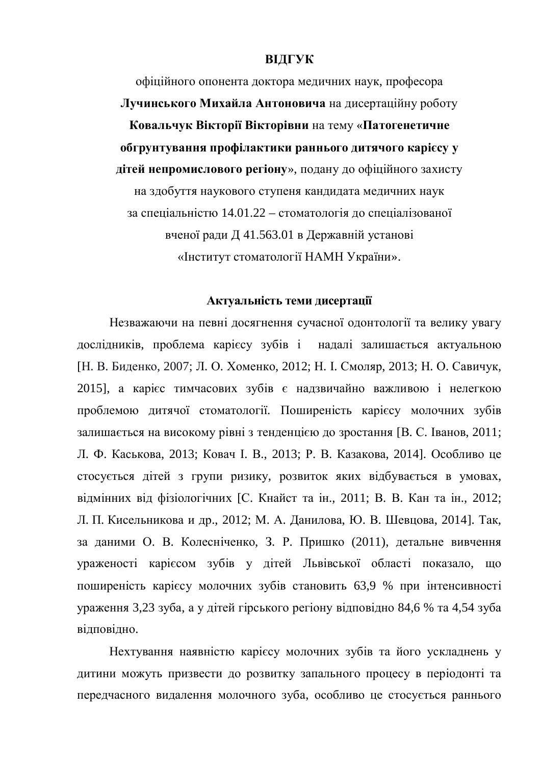# **ВІДГУК**

офіційного опонента доктора медичних наук, професора Лучинського Михайла Антоновича на дисертаційну роботу **Ковальчук Вікторії Вікторівни** на тему «Патогенетичне **эбгрунтування профілактики раннього литячого карієсу у** д**ітей непромислового регіону**», подану до офіційного захисту на здобуття наукового ступеня кандидата медичних наук за спеціальністю 14.01.22 – стоматологія до спеціалізованої вченої ради Д 41.563.01 в Державній установі «Інститут стоматології НАМН України».

## Актуальність теми дисертації

Незважаючи на певні досягнення сучасної одонтології та велику увагу дослідників, проблема карієсу зубів і надалі залишається актуальною [Н. В. Биденко, 2007; Л. О. Хоменко, 2012; Н. І. Смоляр, 2013; Н. О. Савичук, 2015], а карієс тимчасових зубів є надзвичайно важливою і нелегкою проблемою дитячої стоматології. Поширеність карієсу молочних зубів залишається на високому рівні з тенденцією до зростання [В. С. Іванов, 2011; Л. Ф. Каськова, 2013; Ковач І. В., 2013; Р. В. Казакова, 2014]. Особливо це стосується дітей з групи ризику, розвиток яких відбувається в умовах, відмінних від фізіологічних [С. Кнайст та ін., 2011; В. В. Кан та ін., 2012; Л. П. Кисельникова и др., 2012; М. А. Данилова, Ю. В. Шевцова, 2014]. Так, за даними О. В. Колесніченко, З. Р. Пришко (2011), детальне вивчення ураженості карієсом зубів у дітей Львівської області показало, що поширеність карієсу молочних зубів становить 63,9 % при інтенсивності ураження 3,23 зуба, а у дітей гірського регіону відповідно 84,6 % та 4,54 зуба відповідно.

Нехтування наявністю карієсу молочних зубів та його ускладнень у дитини можуть призвести до розвитку запального процесу в періодонті та передчасного видалення молочного зуба, особливо це стосується раннього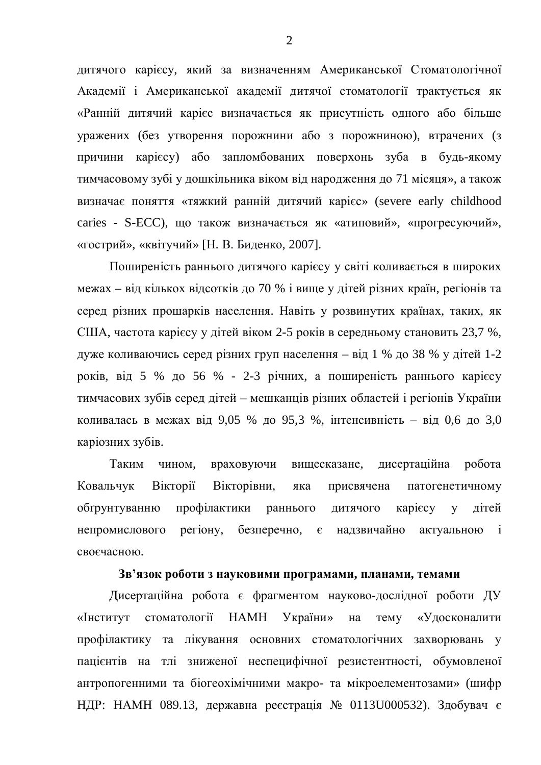дитячого карієсу, який за визначенням Американської Стоматологічної Академії і Американської академії дитячої стоматології трактується як «Ранній дитячий карієс визначається як присутність одного або більше уражених (без утворення порожнини або з порожниною), втрачених (з причини карієсу) або запломбованих поверхонь зуба в будь-якому тимчасовому зубі у дошкільника віком від народження до 71 місяця», а також визначає поняття «тяжкий ранній дитячий карієс» (severe early childhood caries - S-ECC), що також визначається як «атиповий», «прогресуючий», «гострий», «квітучий» [Н. В. Биленко, 2007].

Поширеність раннього дитячого карієсу у світі коливається в широких межах – від кількох відсотків до 70 % і вище у дітей різних країн, регіонів та серед різних прошарків населення. Навіть у розвинутих країнах, таких, як США, частота карієсу у дітей віком 2-5 років в середньому становить 23,7 %, дуже коливаючись серед різних груп населення – від 1 % до 38 % у дітей 1-2 років, від 5 % до 56 % - 2-3 річних, а поширеність раннього карієсу тимчасових зубів серед дітей – мешканців різних областей і регіонів України коливалась в межах від 9,05 % до 95,3 %, інтенсивність – від 0,6 до 3,0 каріозних зубів.

Таким чином, враховуючи вищесказане, дисертаційна робота Ковальчук Вікторії Вікторівни, яка присвячена патогенетичному обгрунтуванню профілактики раннього дитячого карієсу у дітей непромислового регіону, безперечно, є надзвичайно актуальною і своєчасною.

### Зв'язок роботи з науковими програмами, планами, темами

Дисертаційна робота є фрагментом науково-дослідної роботи ДУ «Інститут стоматології НАМН України» на тему «Удосконалити профілактику та лікування основних стоматологічних захворювань у пацієнтів на тлі зниженої неспецифічної резистентності, обумовленої антропогенними та біогеохімічними макро- та мікроелементозами» (шифр НДР: НАМН 089.13, державна реєстрація № 0113U000532). Здобувач є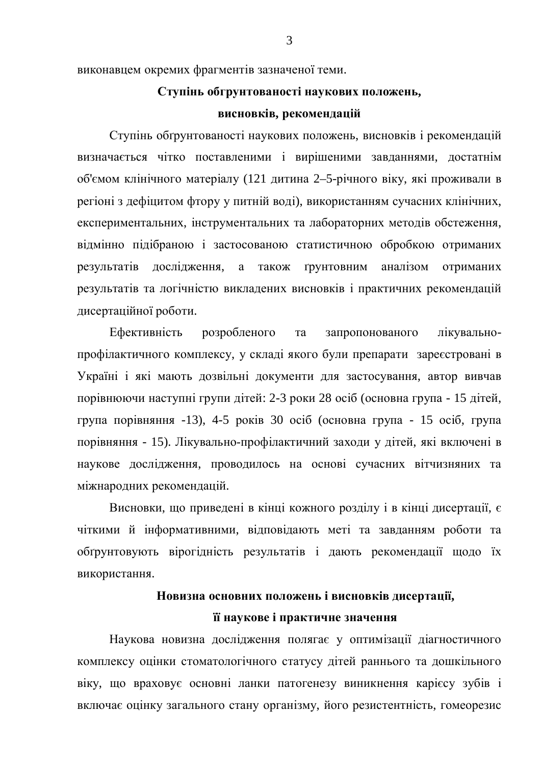виконавцем окремих фрагментів зазначеної теми.

# Ступінь обгрунтованості наукових положень,

### **висновків, рекомендацій**

Ступінь обґрунтованості наукових положень, висновків і рекомендацій визначається чітко поставленими і вирішеними завданнями, достатнім об'ємом клінічного матеріалу (121 дитина 2–5-річного віку, які проживали в регіоні з дефіцитом фтору у питній воді), використанням сучасних клінічних, експериментальних, інструментальних та лабораторних методів обстеження, відмінно підібраною і застосованою статистичною обробкою отриманих результатів дослідження, а також ґрунтовним аналізом отриманих результатів та логічністю викладених висновків і практичних рекомендацій дисертаційної роботи.

Ефективність розробленого та запропонованого лікувальнопрофілактичного комплексу, у складі якого були препарати зареєстровані в Україні і які мають дозвільні документи для застосування, автор вивчав порівнюючи наступні групи дітей: 2-3 роки 28 осіб (основна група - 15 дітей, група порівняння -13), 4-5 років 30 осіб (основна група - 15 осіб, група порівняння - 15). Лікувально-профілактичний заходи у дітей, які включені в наукове дослідження, проводилось на основі сучасних вітчизняних та міжнародних рекомендацій.

Висновки, що приведені в кінці кожного розділу і в кінці дисертації, є чіткими й інформативними, відповідають меті та завданням роботи та обтрунтовують вірогідність результатів і дають рекомендації щодо їх використання.

# Новизна основних положень і висновків дисертації, **i** наукове і практичне значення

Наукова новизна дослідження полягає у оптимізації діагностичного комплексу оцінки стоматологічного статусу дітей раннього та дошкільного віку, що враховує основні ланки патогенезу виникнення карієсу зубів і включає оцінку загального стану організму, його резистентність, гомеорезис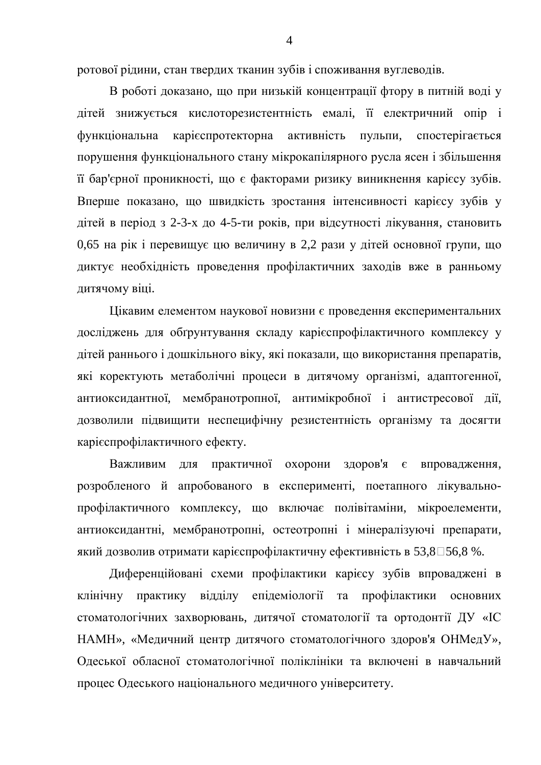ротової рідини, стан твердих тканин зубів і споживання вуглеводів.

В роботі доказано, що при низькій концентрації фтору в питній воді у дітей знижується кислоторезистентність емалі, її електричний опір і функціональна карієспротекторна активність пульпи, спостерігається порушення функціонального стану мікрокапілярного русла ясен і збільшення її бар'єрної проникності, що є факторами ризику виникнення карієсу зубів. Вперше показано, що швидкість зростання інтенсивності карієсу зубів у дітей в період з 2-3-х до 4-5-ти років, при відсутності лікування, становить 0,65 на рік і перевищує цю величину в 2,2 рази у дітей основної групи, що диктує необхідність проведення профілактичних заходів вже в ранньому дитячому віці.

Цікавим елементом наукової новизни є проведення експериментальних досліджень для обґрунтування складу карієспрофілактичного комплексу у дітей раннього і дошкільного віку, які показали, що використання препаратів, які коректують метаболічні процеси в дитячому організмі, адаптогенної, антиоксидантної, мембранотропної, антимікробної і антистресової дії, дозволили підвищити неспецифічну резистентність організму та досягти каріє спрофілактичного ефекту.

Важливим для практичної охорони здоров'я є впровадження, розробленого й апробованого в експерименті, поетапного лікувальнопрофілактичного комплексу, що включає полівітаміни, мікроелементи, антиоксидантні, мембранотропні, остеотропні і мінералізуючі препарати, який дозволив отримати карієспрофілактичну ефективність в 53,8 $\square$ 56,8 %.

Диференційовані схеми профілактики карієсу зубів впроваджені в клінічну практику відділу епідеміології та профілактики основних стоматологічних захворювань, дитячої стоматології та ортодонтії ДУ «ІС НАМН», «Медичний центр дитячого стоматологічного здоров'я ОНМедУ», Одеської обласної стоматологічної поліклініки та включені в навчальний процес Одеського національного медичного університету.

4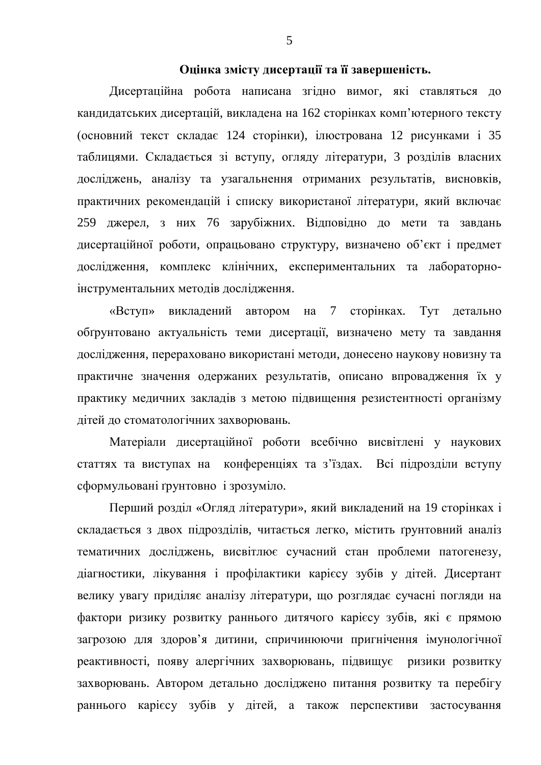## Оцінка змісту дисертації та її завершеність.

Дисертаційна робота написана згідно вимог, які ставляться до кандидатських дисертацій, викладена на 162 сторінках комп'ютерного тексту  $(0.0640)$ вний текст складає 124 сторінки), ілюстрована 12 рисунками і 35 таблицями. Складається зі вступу, огляду літератури, 3 розділів власних досліджень, аналізу та узагальнення отриманих результатів, висновків, практичних рекомендацій і списку використаної літератури, який включає 259 джерел, з них 76 зарубіжних. Відповідно до мети та завдань дисертаційної роботи, опрацьовано структуру, визначено об'єкт і предмет дослідження, комплекс клінічних, експериментальних та лабораторноінструментальних методів дослідження.

«Вступ» викладений автором на 7 сторінках. Тут детально обґрунтовано актуальність теми дисертації, визначено мету та завдання дослідження, перераховано використані методи, донесено наукову новизну та практичне значення одержаних результатів, описано впровадження їх у практику медичних закладів з метою підвищення резистентності організму дітей до стоматологічних захворювань.

Матеріали дисертаційної роботи всебічно висвітлені у наукових статтях та виступах на конференціях та з'їздах. Всі підрозділи вступу сформульовані ґрунтовно і зрозуміло.

Перший розділ «Огляд літератури», який викладений на 19 сторінках і складається з двох підрозділів, читається легко, містить ґрунтовний аналіз тематичних досліджень, висвітлює сучасний стан проблеми патогенезу, діагностики, лікування і профілактики карієсу зубів у дітей. Дисертант велику увагу приділяє аналізу літератури, що розглядає сучасні погляди на фактори ризику розвитку раннього дитячого карієсу зубів, які є прямою загрозою для здоров'я дитини, спричинюючи пригнічення імунологічної реактивності, появу алергічних захворювань, підвищує ризики розвитку захворювань. Автором детально досліджено питання розвитку та перебігу раннього карієсу зубів у дітей, а також перспективи застосування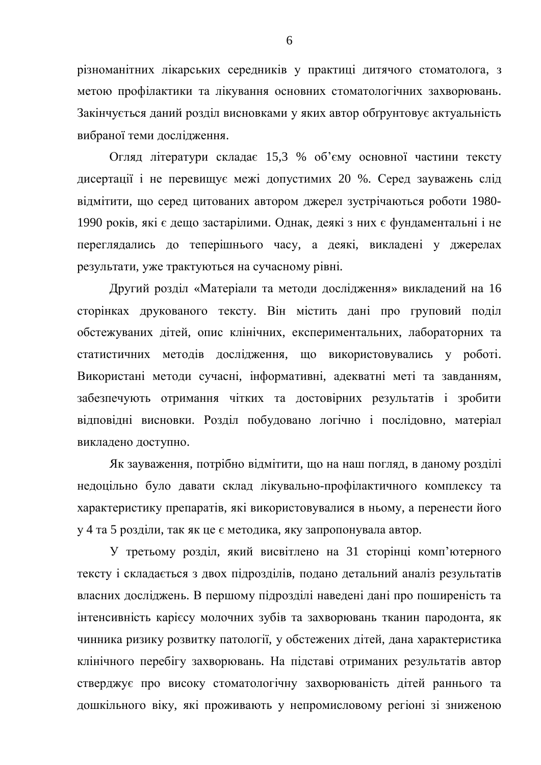різноманітних лікарських середників у практиці дитячого стоматолога, з метою профілактики та лікування основних стоматологічних захворювань. Закінчується даний розділ висновками у яких автор обґрунтовує актуальність вибраної теми дослідження.

Огляд літератури складає 15,3 %  $\sigma$ б'єму основної частини тексту дисертації і не перевищує межі допустимих 20 %. Серед зауважень слід відмітити, що серед цитованих автором джерел зустрічаються роботи 1980-1990 років, які є дещо застарілими. Однак, деякі з них є фундаментальні і не переглядались до теперішнього часу, а деякі, викладені у джерелах результати, уже трактуються на сучасному рівні.

Другий розділ «Матеріали та методи дослідження» викладений на 16 сторінках друкованого тексту. Він містить дані про груповий поділ обстежуваних дітей, опис клінічних, експериментальних, лабораторних та статистичних методів дослідження, що використовувались у роботі. Використані методи сучасні, інформативні, адекватні меті та завданням, забезпечують отримання чітких та достовірних результатів і зробити відповідні висновки. Розділ побудовано логічно і послідовно, матеріал викладено доступно.

Як зауваження, потрібно відмітити, що на наш погляд, в даному розділі недоцільно було давати склад лікувально-профілактичного комплексу та характеристику препаратів, які використовувалися в ньому, а перенести його у 4 та 5 розділи, так як це є методика, яку запропонувала автор.

У третьому розділ, який висвітлено на 31 сторінці комп'ютерного тексту і складається з двох підрозділів, подано детальний аналіз результатів власних досліджень. В першому підрозділі наведені дані про поширеність та інтенсивність карієсу молочних зубів та захворювань тканин пародонта, як чинника ризику розвитку патології, у обстежених дітей, дана характеристика клінічного перебігу захворювань. На підставі отриманих результатів автор стверджує про високу стоматологічну захворюваність дітей раннього та дошкільного віку, які проживають у непромисловому регіоні зі зниженою

6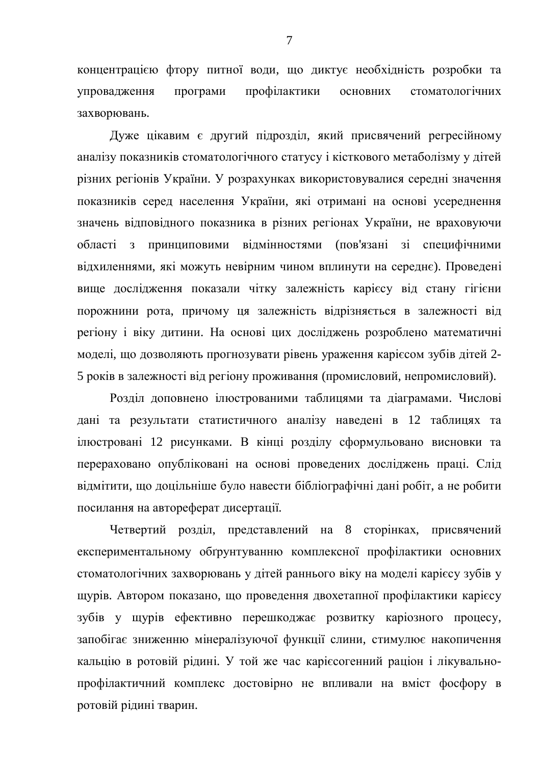концентрацією фтору питної води, що диктує необхідність розробки та упровадження програми профілактики основних стоматологічних захворювань.

Дуже цікавим є другий підрозділ, який присвячений регресійному аналізу показників стоматологічного статусу і кісткового метаболізму у дітей різних регіонів України. У розрахунках використовувалися середні значення показників серед населення України, які отримані на основі усереднення значень відповідного показника в різних регіонах України, не враховуючи області з принциповими відмінностями (пов'язані зі специфічними відхиленнями, які можуть невірним чином вплинути на середнє). Проведені вище дослідження показали чітку залежність карієсу від стану гігієни порожнини рота, причому ця залежність відрізняється в залежності від регіону і віку дитини. На основі цих досліджень розроблено математичні моделі, що дозволяють прогнозувати рівень ураження карієсом зубів дітей 2-5 років в залежності від регіону проживання (промисловий, непромисловий).

Розділ доповнено ілюстрованими таблицями та діаграмами. Числові дані та результати статистичного аналізу наведені в 12 таблицях та ілюстровані 12 рисунками. В кінці розділу сформульовано висновки та перераховано опубліковані на основі проведених досліджень праці. Слід відмітити, що доцільніше було навести бібліографічні дані робіт, а не робити посилання на автореферат дисертації.

Четвертий розділ, представлений на 8 сторінках, присвячений експериментальному обтрунтуванню комплексної профілактики основних стоматологічних захворювань у дітей раннього віку на моделі карієсу зубів у щурів. Автором показано, що проведення двохетапної профілактики карієсу зубів у щурів ефективно перешкоджає розвитку каріозного процесу, запобігає зниженню мінералізуючої функції слини, стимулює накопичення кальцію в ротовій рідині. У той же час каріє согенний раціон і лікувальнопрофілактичний комплекс достовірно не впливали на вміст фосфору в ротовій рідині тварин.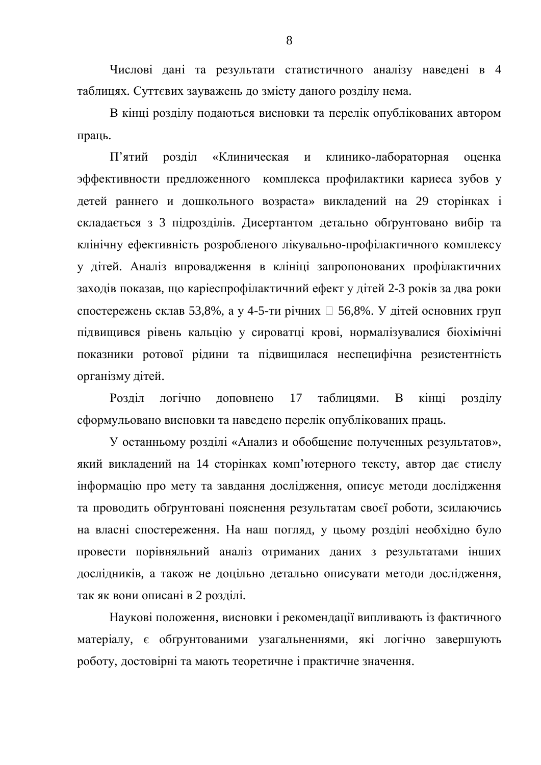Числові дані та результати статистичного аналізу наведені в 4 таблицях. Суттєвих зауважень до змісту даного розділу нема.

В кінці розділу подаються висновки та перелік опублікованих автором праць.

П'ятий розділ «Клиническая и клинико-лабораторная оценка эффективности предложенного комплекса профилактики кариеса зубов у детей раннего и дошкольного возраста» викладений на 29 сторінках і складається з 3 підрозділів. Дисертантом детально обґрунтовано вибір та клінічну ефективність розробленого лікувально-профілактичного комплексу у дітей. Аналіз впровадження в клініці запропонованих профілактичних заходів показав, що каріеспрофілактичний ефект у дітей 2-3 років за два роки спостережень склав 53,8%, а у 4-5-ти річних  $\Box$  56,8%. У дітей основних груп підвищився рівень кальцію у сироватці крові, нормалізувалися біохімічні показники ротової рідини та підвищилася неспецифічна резистентність організму дітей.

Розділ логічно доповнено 17 таблицями. В кінці розділу сформульовано висновки та наведено перелік опублікованих праць.

У останньому розділі «Анализ и обобщение полученных результатов», який викладений на 14 сторінках комп'ютерного тексту, автор дає стислу інформацію про мету та завдання дослідження, описує методи дослідження та проводить обгрунтовані пояснення результатам своєї роботи, зсилаючись на власні спостереження. На наш погляд, у цьому розділі необхідно було провести порівняльний аналіз отриманих даних з результатами інших дослідників, а також не доцільно детально описувати методи дослідження, так як вони описані в 2 розділі.

Наукові положення, висновки і рекомендації випливають із фактичного матеріалу, є обґрунтованими узагальненнями, які логічно завершують роботу, достовірні та мають теоретичне і практичне значення.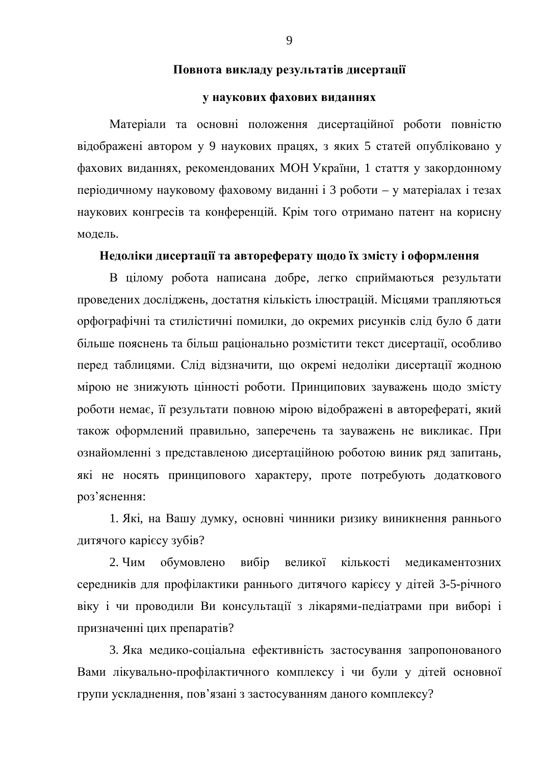## Повнота викладу результатів дисертації

#### у наукових фахових виданнях

Матеріали та основні положення дисертаційної роботи повністю відображені автором у 9 наукових працях, з яких 5 статей опубліковано у фахових виданнях, рекомендованих МОН України, 1 стаття у закордонному періодичному науковому фаховому виданні і 3 роботи – у матеріалах і тезах наукових конгресів та конференцій. Крім того отримано патент на корисну модель.

# Недоліки дисертації та автореферату щодо їх змісту і оформлення

В цілому робота написана добре, легко сприймаються результати проведених досліджень, достатня кількість ілюстрацій. Місцями трапляються орфографічні та стилістичні помилки, до окремих рисунків слід було б дати більше пояснень та більш раціонально розмістити текст дисертації, особливо перед таблицями. Слід відзначити, що окремі недоліки дисертації жодною мірою не знижують цінності роботи. Принципових зауважень щодо змісту роботи немає, її результати повною мірою відображені в авторефераті, який також оформлений правильно, заперечень та зауважень не викликає. При ознайомленні з представленою дисертаційною роботою виник ряд запитань, які не носять принципового характеру, проте потребують додаткового роз'яснення:

1. Які, на Вашу думку, основні чинники ризику виникнення раннього дитячого карієсу зубів?

2. Чим обумовлено вибір великої кількості медикаментозних середників для профілактики раннього дитячого карієсу у дітей 3-5-річного віку і чи проводили Ви консультації з лікарями-педіатрами при виборі і призначенні цих препаратів?

3. Яка медико-соціальна ефективність застосування запропонованого Вами лікувально-профілактичного комплексу і чи були у дітей основної групи ускладнення, пов'язані з застосуванням даного комплексу?